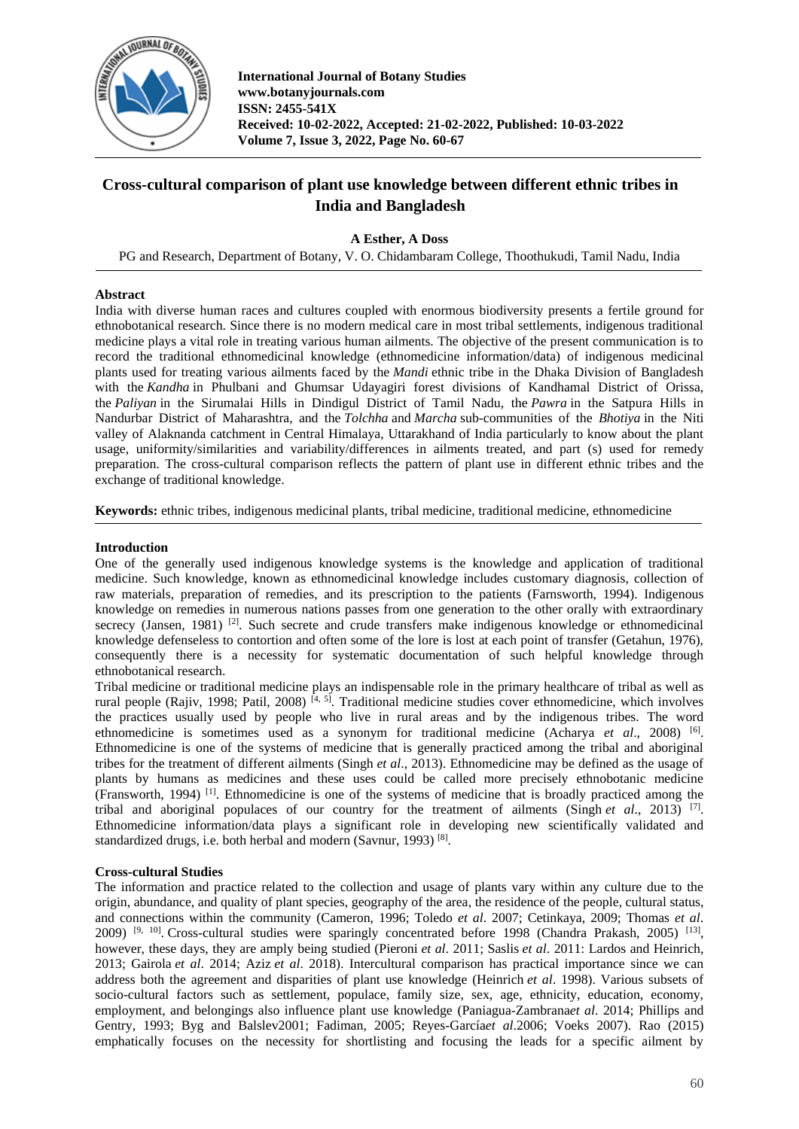

# **Cross-cultural comparison of plant use knowledge between different ethnic tribes in India and Bangladesh**

**A Esther, A Doss**

PG and Research, Department of Botany, V. O. Chidambaram College, Thoothukudi, Tamil Nadu, India

# **Abstract**

India with diverse human races and cultures coupled with enormous biodiversity presents a fertile ground for ethnobotanical research. Since there is no modern medical care in most tribal settlements, indigenous traditional medicine plays a vital role in treating various human ailments. The objective of the present communication is to record the traditional ethnomedicinal knowledge (ethnomedicine information/data) of indigenous medicinal plants used for treating various ailments faced by the *Mandi* ethnic tribe in the Dhaka Division of Bangladesh with the *Kandha* in Phulbani and Ghumsar Udayagiri forest divisions of Kandhamal District of Orissa, the *Paliyan* in the Sirumalai Hills in Dindigul District of Tamil Nadu, the *Pawra* in the Satpura Hills in Nandurbar District of Maharashtra, and the *Tolchha* and *Marcha* sub-communities of the *Bhotiya* in the Niti valley of Alaknanda catchment in Central Himalaya, Uttarakhand of India particularly to know about the plant usage, uniformity/similarities and variability/differences in ailments treated, and part (s) used for remedy preparation. The cross-cultural comparison reflects the pattern of plant use in different ethnic tribes and the exchange of traditional knowledge.

**Keywords:** ethnic tribes, indigenous medicinal plants, tribal medicine, traditional medicine, ethnomedicine

# **Introduction**

One of the generally used indigenous knowledge systems is the knowledge and application of traditional medicine. Such knowledge, known as ethnomedicinal knowledge includes customary diagnosis, collection of raw materials, preparation of remedies, and its prescription to the patients (Farnsworth, 1994). Indigenous knowledge on remedies in numerous nations passes from one generation to the other orally with extraordinary secrecy (Jansen, 1981)<sup>[2]</sup>. Such secrete and crude transfers make indigenous knowledge or ethnomedicinal knowledge defenseless to contortion and often some of the lore is lost at each point of transfer (Getahun, 1976), consequently there is a necessity for systematic documentation of such helpful knowledge through ethnobotanical research.

Tribal medicine or traditional medicine plays an indispensable role in the primary healthcare of tribal as well as rural people (Rajiv, 1998; Patil, 2008)<sup>[4, 5]</sup>. Traditional medicine studies cover ethnomedicine, which involves the practices usually used by people who live in rural areas and by the indigenous tribes. The word ethnomedicine is sometimes used as a synonym for traditional medicine (Acharya *et al.*, 2008)<sup>[6]</sup>. Ethnomedicine is one of the systems of medicine that is generally practiced among the tribal and aboriginal tribes for the treatment of different ailments (Singh *et al*., 2013). Ethnomedicine may be defined as the usage of plants by humans as medicines and these uses could be called more precisely ethnobotanic medicine (Fransworth, 1994) [1] . Ethnomedicine is one of the systems of medicine that is broadly practiced among the tribal and aboriginal populaces of our country for the treatment of ailments (Singh *et al*., 2013) [7] . Ethnomedicine information/data plays a significant role in developing new scientifically validated and standardized drugs, i.e. both herbal and modern (Savnur, 1993)<sup>[8]</sup>.

# **Cross-cultural Studies**

The information and practice related to the collection and usage of plants vary within any culture due to the origin, abundance, and quality of plant species, geography of the area, the residence of the people, cultural status, and connections within the community (Cameron, 1996; Toledo *et al*. 2007; Cetinkaya, 2009; Thomas *et al*. 2009) <sup>[9, 10]</sup>. Cross-cultural studies were sparingly concentrated before 1998 (Chandra Prakash, 2005) <sup>[13]</sup>, however, these days, they are amply being studied (Pieroni *et al*. 2011; Saslis *et al*. 2011: Lardos and Heinrich, 2013; Gairola *et al*. 2014; Aziz *et al*. 2018). Intercultural comparison has practical importance since we can address both the agreement and disparities of plant use knowledge (Heinrich *et al*. 1998). Various subsets of socio-cultural factors such as settlement, populace, family size, sex, age, ethnicity, education, economy, employment, and belongings also influence plant use knowledge (Paniagua-Zambrana*et al*. 2014; Phillips and Gentry, 1993; Byg and Balslev2001; Fadiman, 2005; Reyes-García*et al*.2006; Voeks 2007). Rao (2015) emphatically focuses on the necessity for shortlisting and focusing the leads for a specific ailment by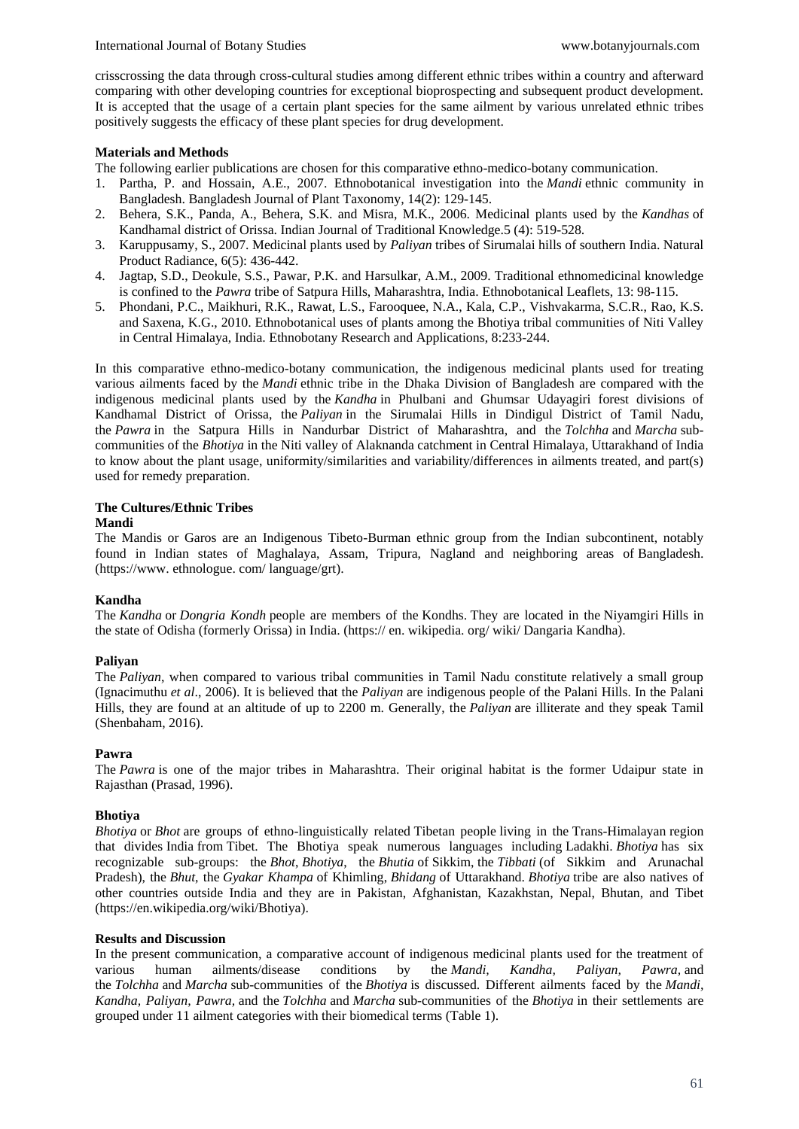crisscrossing the data through cross-cultural studies among different ethnic tribes within a country and afterward comparing with other developing countries for exceptional bioprospecting and subsequent product development. It is accepted that the usage of a certain plant species for the same ailment by various unrelated ethnic tribes positively suggests the efficacy of these plant species for drug development.

### **Materials and Methods**

The following earlier publications are chosen for this comparative ethno-medico-botany communication.

- 1. Partha, P. and Hossain, A.E., 2007. Ethnobotanical investigation into the *Mandi* ethnic community in Bangladesh. Bangladesh Journal of Plant Taxonomy*,* 14(2): 129-145.
- 2. Behera, S.K., Panda, A., Behera, S.K. and Misra, M.K., 2006. Medicinal plants used by the *Kandhas* of Kandhamal district of Orissa. Indian Journal of Traditional Knowledge.5 (4): 519-528.
- 3. Karuppusamy, S., 2007. Medicinal plants used by *Paliyan* tribes of Sirumalai hills of southern India. Natural Product Radiance, 6(5): 436-442.
- 4. Jagtap, S.D., Deokule, S.S., Pawar, P.K. and Harsulkar, A.M., 2009. Traditional ethnomedicinal knowledge is confined to the *Pawra* tribe of Satpura Hills, Maharashtra, India. Ethnobotanical Leaflets, 13: 98-115.
- 5. Phondani, P.C., Maikhuri, R.K., Rawat, L.S., Farooquee, N.A., Kala, C.P., Vishvakarma, S.C.R., Rao, K.S. and Saxena, K.G., 2010. Ethnobotanical uses of plants among the Bhotiya tribal communities of Niti Valley in Central Himalaya, India. Ethnobotany Research and Applications, 8:233-244.

In this comparative ethno-medico-botany communication, the indigenous medicinal plants used for treating various ailments faced by the *Mandi* ethnic tribe in the Dhaka Division of Bangladesh are compared with the indigenous medicinal plants used by the *Kandha* in Phulbani and Ghumsar Udayagiri forest divisions of Kandhamal District of Orissa, the *Paliyan* in the Sirumalai Hills in Dindigul District of Tamil Nadu, the *Pawra* in the Satpura Hills in Nandurbar District of Maharashtra, and the *Tolchha* and *Marcha* subcommunities of the *Bhotiya* in the Niti valley of Alaknanda catchment in Central Himalaya, Uttarakhand of India to know about the plant usage, uniformity/similarities and variability/differences in ailments treated, and part(s) used for remedy preparation.

# **The Cultures/Ethnic Tribes**

### **Mandi**

The Mandis or Garos are an Indigenous Tibeto-Burman ethnic group from the Indian subcontinent, notably found in Indian states of Maghalaya, Assam, Tripura, Nagland and neighboring areas of Bangladesh. (https://www. ethnologue. com/ language/grt).

# **Kandha**

The *Kandha* or *Dongria Kondh* people are members of the Kondhs. They are located in the Niyamgiri Hills in the state of Odisha (formerly Orissa) in India. (https:// en. wikipedia. org/ wiki/ Dangaria Kandha).

#### **Paliyan**

The *Paliyan*, when compared to various tribal communities in Tamil Nadu constitute relatively a small group (Ignacimuthu *et al*., 2006). It is believed that the *Paliyan* are indigenous people of the Palani Hills. In the Palani Hills, they are found at an altitude of up to 2200 m. Generally, the *Paliyan* are illiterate and they speak Tamil (Shenbaham, 2016).

#### **Pawra**

The *Pawra* is one of the major tribes in Maharashtra. Their original habitat is the former Udaipur state in Rajasthan (Prasad, 1996).

#### **Bhotiya**

*Bhotiya* or *Bhot* are groups of ethno-linguistically related Tibetan people living in the Trans-Himalayan region that divides India from Tibet. The Bhotiya speak numerous languages including Ladakhi. *Bhotiya* has six recognizable sub-groups: the *Bhot*, *Bhotiya*, the *Bhutia* of Sikkim, the *Tibbati* (of Sikkim and Arunachal Pradesh), the *Bhut*, the *Gyakar Khampa* of Khimling, *Bhidang* of Uttarakhand. *Bhotiya* tribe are also natives of other countries outside India and they are in Pakistan, Afghanistan, Kazakhstan, Nepal, Bhutan, and Tibet (https://en.wikipedia.org/wiki/Bhotiya).

#### **Results and Discussion**

In the present communication, a comparative account of indigenous medicinal plants used for the treatment of various human ailments/disease conditions by the *Mandi, Kandha, Paliyan, Pawra,* and the *Tolchha* and *Marcha* sub-communities of the *Bhotiya* is discussed. Different ailments faced by the *Mandi, Kandha, Paliyan, Pawra,* and the *Tolchha* and *Marcha* sub-communities of the *Bhotiya* in their settlements are grouped under 11 ailment categories with their biomedical terms (Table 1).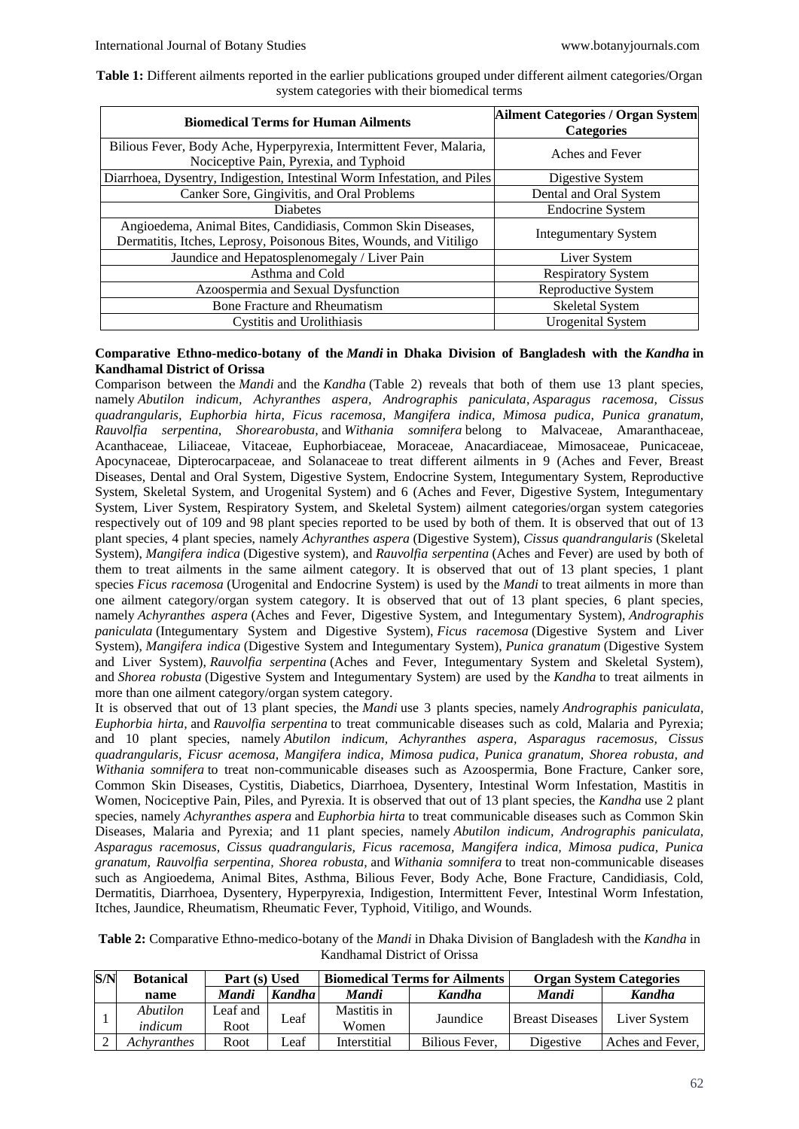| Table 1: Different ailments reported in the earlier publications grouped under different ailment categories/Organ |  |                                               |  |  |
|-------------------------------------------------------------------------------------------------------------------|--|-----------------------------------------------|--|--|
|                                                                                                                   |  | system categories with their biomedical terms |  |  |

| <b>Biomedical Terms for Human Ailments</b>                                                                                         | <b>Ailment Categories / Organ System</b><br><b>Categories</b> |
|------------------------------------------------------------------------------------------------------------------------------------|---------------------------------------------------------------|
| Bilious Fever, Body Ache, Hyperpyrexia, Intermittent Fever, Malaria,<br>Nociceptive Pain, Pyrexia, and Typhoid                     | Aches and Fever                                               |
| Diarrhoea, Dysentry, Indigestion, Intestinal Worm Infestation, and Piles                                                           | Digestive System                                              |
| Canker Sore, Gingivitis, and Oral Problems                                                                                         | Dental and Oral System                                        |
| <b>Diabetes</b>                                                                                                                    | <b>Endocrine System</b>                                       |
| Angioedema, Animal Bites, Candidiasis, Common Skin Diseases,<br>Dermatitis, Itches, Leprosy, Poisonous Bites, Wounds, and Vitiligo | Integumentary System                                          |
| Jaundice and Hepatosplenomegaly / Liver Pain                                                                                       | Liver System                                                  |
| Asthma and Cold                                                                                                                    | <b>Respiratory System</b>                                     |
| Azoospermia and Sexual Dysfunction                                                                                                 | Reproductive System                                           |
| <b>Bone Fracture and Rheumatism</b>                                                                                                | <b>Skeletal System</b>                                        |
| <b>Cystitis and Urolithiasis</b>                                                                                                   | <b>Urogenital System</b>                                      |

### **Comparative Ethno-medico-botany of the** *Mandi* **in Dhaka Division of Bangladesh with the** *Kandha* **in Kandhamal District of Orissa**

Comparison between the *Mandi* and the *Kandha* (Table 2) reveals that both of them use 13 plant species, namely *Abutilon indicum, Achyranthes aspera, Andrographis paniculata*, *Asparagus racemosa, Cissus quadrangularis, Euphorbia hirta, Ficus racemosa, Mangifera indica, Mimosa pudica, Punica granatum, Rauvolfia serpentina, Shorearobusta,* and *Withania somnifera* belong to Malvaceae, Amaranthaceae, Acanthaceae, Liliaceae, Vitaceae, Euphorbiaceae, Moraceae, Anacardiaceae, Mimosaceae, Punicaceae, Apocynaceae, Dipterocarpaceae, and Solanaceae to treat different ailments in 9 (Aches and Fever, Breast Diseases, Dental and Oral System, Digestive System, Endocrine System, Integumentary System, Reproductive System, Skeletal System, and Urogenital System) and 6 (Aches and Fever, Digestive System, Integumentary System, Liver System, Respiratory System, and Skeletal System) ailment categories/organ system categories respectively out of 109 and 98 plant species reported to be used by both of them. It is observed that out of 13 plant species, 4 plant species, namely *Achyranthes aspera* (Digestive System), *Cissus quandrangularis* (Skeletal System), *Mangifera indica* (Digestive system), and *Rauvolfia serpentina* (Aches and Fever) are used by both of them to treat ailments in the same ailment category. It is observed that out of 13 plant species, 1 plant species *Ficus racemosa* (Urogenital and Endocrine System) is used by the *Mandi* to treat ailments in more than one ailment category/organ system category. It is observed that out of 13 plant species, 6 plant species, namely *Achyranthes aspera* (Aches and Fever, Digestive System, and Integumentary System), *Andrographis paniculata* (Integumentary System and Digestive System), *Ficus racemosa* (Digestive System and Liver System), *Mangifera indica* (Digestive System and Integumentary System), *Punica granatum* (Digestive System and Liver System), *Rauvolfia serpentina* (Aches and Fever, Integumentary System and Skeletal System), and *Shorea robusta* (Digestive System and Integumentary System) are used by the *Kandha* to treat ailments in more than one ailment category/organ system category.

It is observed that out of 13 plant species, the *Mandi* use 3 plants species*,* namely *Andrographis paniculata, Euphorbia hirta,* and *Rauvolfia serpentina* to treat communicable diseases such as cold, Malaria and Pyrexia; and 10 plant species, namely *Abutilon indicum, Achyranthes aspera, Asparagus racemosus, Cissus quadrangularis, Ficusr acemosa, Mangifera indica, Mimosa pudica, Punica granatum, Shorea robusta, and Withania somnifera* to treat non-communicable diseases such as Azoospermia, Bone Fracture, Canker sore, Common Skin Diseases, Cystitis, Diabetics, Diarrhoea, Dysentery, Intestinal Worm Infestation, Mastitis in Women, Nociceptive Pain, Piles, and Pyrexia. It is observed that out of 13 plant species, the *Kandha* use 2 plant species, namely *Achyranthes aspera* and *Euphorbia hirta* to treat communicable diseases such as Common Skin Diseases, Malaria and Pyrexia; and 11 plant species, namely *Abutilon indicum, Andrographis paniculata, Asparagus racemosus, Cissus quadrangularis, Ficus racemosa, Mangifera indica, Mimosa pudica, Punica granatum, Rauvolfia serpentina, Shorea robusta,* and *Withania somnifera* to treat non-communicable diseases such as Angioedema, Animal Bites, Asthma, Bilious Fever, Body Ache, Bone Fracture, Candidiasis, Cold, Dermatitis, Diarrhoea, Dysentery, Hyperpyrexia, Indigestion, Intermittent Fever, Intestinal Worm Infestation, Itches, Jaundice, Rheumatism, Rheumatic Fever, Typhoid, Vitiligo, and Wounds.

| Table 2: Comparative Ethno-medico-botany of the Mandi in Dhaka Division of Bangladesh with the Kandha in |
|----------------------------------------------------------------------------------------------------------|
| Kandhamal District of Orissa                                                                             |

| S/N | <b>Botanical</b> | Part (s) Used |        |              | <b>Biomedical Terms for Ailments</b> | <b>Organ System Categories</b> |                  |
|-----|------------------|---------------|--------|--------------|--------------------------------------|--------------------------------|------------------|
|     | name             | <b>Mandi</b>  | Kandha | <b>Mandi</b> | <b>Kandha</b>                        | <b>Mandi</b>                   | <b>Kandha</b>    |
|     | Abutilon         | Leaf and      | Leaf   | Mastitis in  | Jaundice                             | <b>Breast Diseases</b>         | Liver System     |
|     | indicum          | Root          |        | Women        |                                      |                                |                  |
|     | Achyranthes      | Root          | Leaf   | Interstitial | Bilious Fever.                       | Digestive                      | Aches and Fever, |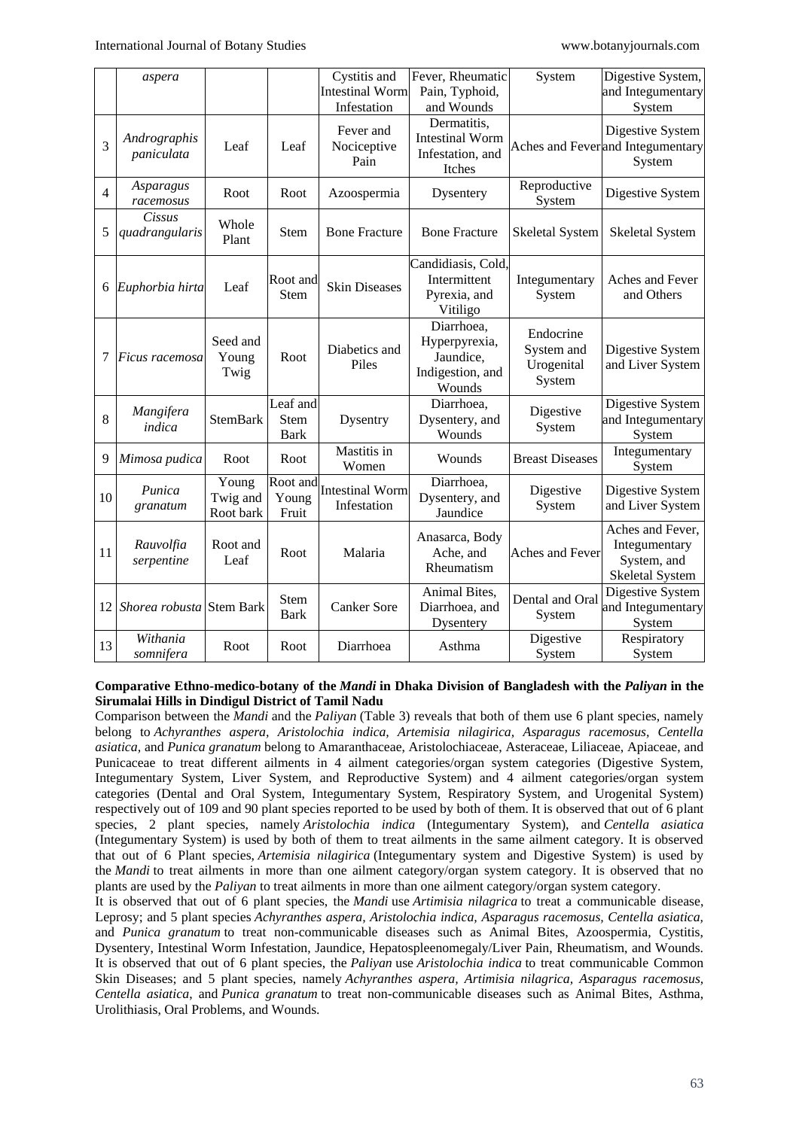|                | aspera                     |                                |                                        | Cystitis and<br><b>Intestinal Worm</b><br>Infestation | Fever, Rheumatic<br>Pain, Typhoid,<br>and Wounds                       | System                                          | Digestive System,<br>and Integumentary<br>System                           |
|----------------|----------------------------|--------------------------------|----------------------------------------|-------------------------------------------------------|------------------------------------------------------------------------|-------------------------------------------------|----------------------------------------------------------------------------|
| 3              | Andrographis<br>paniculata | Leaf                           | Leaf                                   | Fever and<br>Nociceptive<br>Pain                      | Dermatitis,<br><b>Intestinal Worm</b><br>Infestation, and<br>Itches    |                                                 | Digestive System<br>Aches and Feverand Integumentary<br>System             |
| $\overline{4}$ | Asparagus<br>racemosus     | Root                           | Root                                   | Azoospermia                                           | Dysentery                                                              | Reproductive<br>System                          | Digestive System                                                           |
| 5              | Cissus<br>quadrangularis   | Whole<br>Plant                 | Stem                                   | <b>Bone Fracture</b>                                  | <b>Bone Fracture</b>                                                   | <b>Skeletal System</b>                          | <b>Skeletal System</b>                                                     |
| 6              | Euphorbia hirta            | Leaf                           | Root and<br><b>Stem</b>                | <b>Skin Diseases</b>                                  | Candidiasis, Cold,<br>Intermittent<br>Pyrexia, and<br>Vitiligo         | Integumentary<br>System                         | Aches and Fever<br>and Others                                              |
| 7              | Ficus racemosa             | Seed and<br>Young<br>Twig      | Root                                   | Diabetics and<br>Piles                                | Diarrhoea,<br>Hyperpyrexia,<br>Jaundice,<br>Indigestion, and<br>Wounds | Endocrine<br>System and<br>Urogenital<br>System | Digestive System<br>and Liver System                                       |
| 8              | Mangifera<br>indica        | StemBark                       | Leaf and<br><b>Stem</b><br><b>Bark</b> | Dysentry                                              | Diarrhoea,<br>Dysentery, and<br>Wounds                                 | Digestive<br>System                             | Digestive System<br>and Integumentary<br>System                            |
| 9              | Mimosa pudica              | Root                           | Root                                   | Mastitis in<br>Women                                  | Wounds                                                                 | <b>Breast Diseases</b>                          | Integumentary<br>System                                                    |
| 10             | Punica<br>granatum         | Young<br>Twig and<br>Root bark | Root and<br>Young<br>Fruit             | <b>Intestinal Worm</b><br>Infestation                 | Diarrhoea,<br>Dysentery, and<br>Jaundice                               | Digestive<br>System                             | Digestive System<br>and Liver System                                       |
| 11             | Rauvolfia<br>serpentine    | Root and<br>Leaf               | Root                                   | Malaria                                               | Anasarca, Body<br>Ache, and<br>Rheumatism                              | Aches and Fever                                 | Aches and Fever,<br>Integumentary<br>System, and<br><b>Skeletal System</b> |
| 12             | Shorea robusta             | <b>Stem Bark</b>               | <b>Stem</b><br><b>Bark</b>             | <b>Canker Sore</b>                                    | Animal Bites,<br>Diarrhoea, and<br>Dysentery                           | Dental and Oral<br>System                       | Digestive System<br>and Integumentary<br>System                            |
| 13             | Withania<br>somnifera      | Root                           | Root                                   | Diarrhoea                                             | Asthma                                                                 | Digestive<br>System                             | Respiratory<br>System                                                      |

### **Comparative Ethno-medico-botany of the** *Mandi* **in Dhaka Division of Bangladesh with the** *Paliyan* **in the Sirumalai Hills in Dindigul District of Tamil Nadu**

Comparison between the *Mandi* and the *Paliyan* (Table 3) reveals that both of them use 6 plant species, namely belong to *Achyranthes aspera, Aristolochia indica, Artemisia nilagirica, Asparagus racemosus, Centella asiatica,* and *Punica granatum* belong to Amaranthaceae, Aristolochiaceae, Asteraceae, Liliaceae, Apiaceae, and Punicaceae to treat different ailments in 4 ailment categories/organ system categories (Digestive System, Integumentary System, Liver System, and Reproductive System) and 4 ailment categories/organ system categories (Dental and Oral System, Integumentary System, Respiratory System, and Urogenital System) respectively out of 109 and 90 plant species reported to be used by both of them. It is observed that out of 6 plant species, 2 plant species, namely *Aristolochia indica* (Integumentary System), and *Centella asiatica* (Integumentary System) is used by both of them to treat ailments in the same ailment category. It is observed that out of 6 Plant species, *Artemisia nilagirica* (Integumentary system and Digestive System) is used by the *Mandi* to treat ailments in more than one ailment category/organ system category. It is observed that no plants are used by the *Paliyan* to treat ailments in more than one ailment category/organ system category.

It is observed that out of 6 plant species, the *Mandi* use *Artimisia nilagrica* to treat a communicable disease, Leprosy; and 5 plant species *Achyranthes aspera, Aristolochia indica, Asparagus racemosus, Centella asiatica,*  and *Punica granatum* to treat non-communicable diseases such as Animal Bites, Azoospermia, Cystitis, Dysentery, Intestinal Worm Infestation, Jaundice, Hepatospleenomegaly/Liver Pain, Rheumatism, and Wounds. It is observed that out of 6 plant species, the *Paliyan* use *Aristolochia indica* to treat communicable Common Skin Diseases; and 5 plant species, namely *Achyranthes aspera, Artimisia nilagrica, Asparagus racemosus, Centella asiatica*, and *Punica granatum* to treat non-communicable diseases such as Animal Bites, Asthma, Urolithiasis, Oral Problems, and Wounds.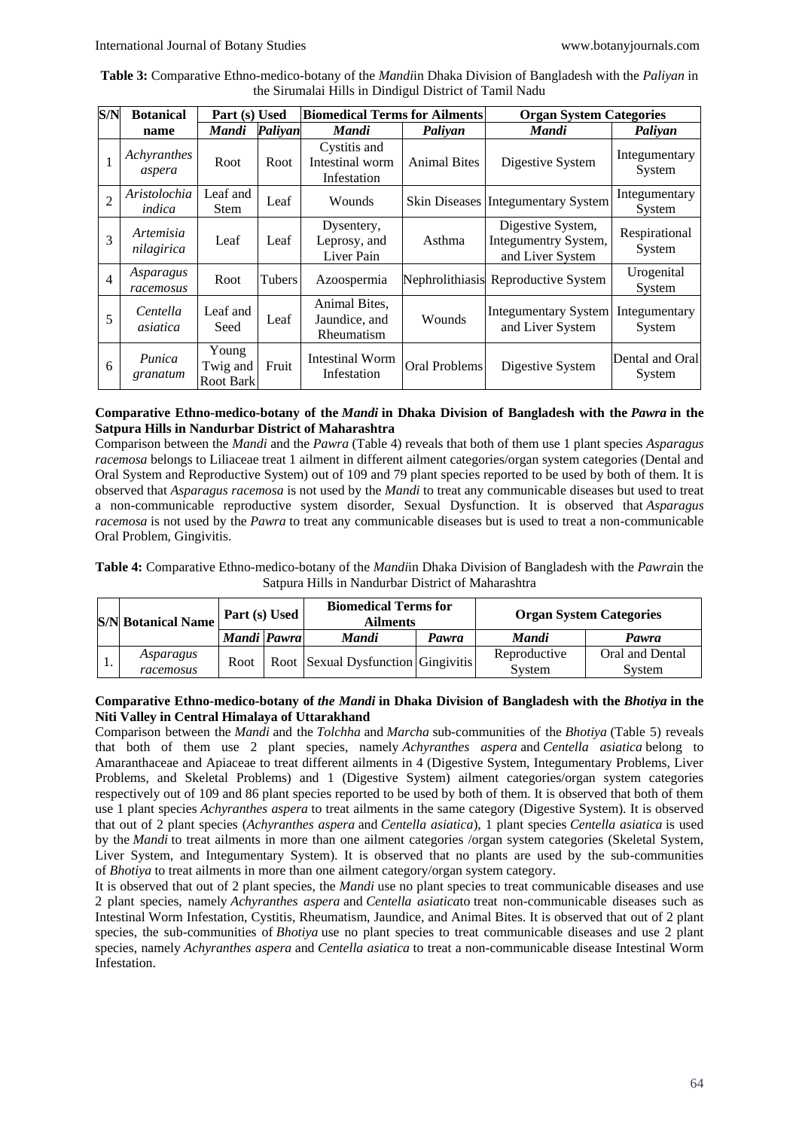| Table 3: Comparative Ethno-medico-botany of the <i>Mandi</i> in Dhaka Division of Bangladesh with the <i>Paliyan</i> in |
|-------------------------------------------------------------------------------------------------------------------------|
| the Sirumalai Hills in Dindigul District of Tamil Nadu                                                                  |

| S/N            | <b>Botanical</b><br>Part (s) Used |                                       |         | <b>Biomedical Terms for Ailments</b>           |                      | <b>Organ System Categories</b>                                |                           |  |
|----------------|-----------------------------------|---------------------------------------|---------|------------------------------------------------|----------------------|---------------------------------------------------------------|---------------------------|--|
|                | name                              | Mandi                                 | Paliyan | Mandi                                          | Paliyan              | Mandi                                                         | Paliyan                   |  |
| 1              | Achyranthes<br>aspera             | Root                                  | Root    | Cystitis and<br>Intestinal worm<br>Infestation | <b>Animal Bites</b>  | Digestive System                                              | Integumentary<br>System   |  |
| $\overline{2}$ | Aristolochia<br>indica            | Leaf and<br><b>Stem</b>               | Leaf    | Wounds                                         | <b>Skin Diseases</b> | <b>Integumentary System</b>                                   | Integumentary<br>System   |  |
| 3              | Artemisia<br>nilagirica           | Leaf                                  | Leaf    | Dysentery,<br>Leprosy, and<br>Liver Pain       | Asthma               | Digestive System,<br>Integumentry System,<br>and Liver System | Respirational<br>System   |  |
| $\overline{4}$ | Asparagus<br>racemosus            | Root                                  | Tubers  | Azoospermia                                    |                      | Nephrolithiasis Reproductive System                           | Urogenital<br>System      |  |
| 5              | Centella<br>asiatica              | Leaf and<br>Seed                      | Leaf    | Animal Bites,<br>Jaundice, and<br>Rheumatism   | Wounds               | Integumentary System<br>and Liver System                      | Integumentary<br>System   |  |
| 6              | Punica<br>granatum                | Young<br>Twig and<br><b>Root Bark</b> | Fruit   | <b>Intestinal Worm</b><br>Infestation          | Oral Problems        | Digestive System                                              | Dental and Oral<br>System |  |

# **Comparative Ethno-medico-botany of the** *Mandi* **in Dhaka Division of Bangladesh with the** *Pawra* **in the Satpura Hills in Nandurbar District of Maharashtra**

Comparison between the *Mandi* and the *Pawra* (Table 4) reveals that both of them use 1 plant species *Asparagus racemosa* belongs to Liliaceae treat 1 ailment in different ailment categories/organ system categories (Dental and Oral System and Reproductive System) out of 109 and 79 plant species reported to be used by both of them. It is observed that *Asparagus racemosa* is not used by the *Mandi* to treat any communicable diseases but used to treat a non-communicable reproductive system disorder, Sexual Dysfunction. It is observed that *Asparagus racemosa* is not used by the *Pawra* to treat any communicable diseases but is used to treat a non-communicable Oral Problem, Gingivitis.

**Table 4:** Comparative Ethno-medico-botany of the *Mandi*in Dhaka Division of Bangladesh with the *Pawra*in the Satpura Hills in Nandurbar District of Maharashtra

| <b>S/N</b> Botanical Name | Part (s) Used |  | <b>Biomedical Terms for</b><br><b>Ailments</b> | <b>Organ System Categories</b> |              |                 |
|---------------------------|---------------|--|------------------------------------------------|--------------------------------|--------------|-----------------|
|                           | Mandi Pawra   |  | <b>Mandi</b>                                   | Pawra                          | <b>Mandi</b> | Pawra           |
| Asparagus                 | Root          |  | Root Sexual Dysfunction Gingivitis             |                                | Reproductive | Oral and Dental |
| racemosus                 |               |  |                                                |                                | System       | System          |

# **Comparative Ethno-medico-botany of** *the Mandi* **in Dhaka Division of Bangladesh with the** *Bhotiya* **in the Niti Valley in Central Himalaya of Uttarakhand**

Comparison between the *Mandi* and the *Tolchha* and *Marcha* sub-communities of the *Bhotiya* (Table 5) reveals that both of them use 2 plant species, namely *Achyranthes aspera* and *Centella asiatica* belong to Amaranthaceae and Apiaceae to treat different ailments in 4 (Digestive System, Integumentary Problems, Liver Problems, and Skeletal Problems) and 1 (Digestive System) ailment categories/organ system categories respectively out of 109 and 86 plant species reported to be used by both of them. It is observed that both of them use 1 plant species *Achyranthes aspera* to treat ailments in the same category (Digestive System). It is observed that out of 2 plant species (*Achyranthes aspera* and *Centella asiatica*), 1 plant species *Centella asiatica* is used by the *Mandi* to treat ailments in more than one ailment categories /organ system categories (Skeletal System, Liver System, and Integumentary System). It is observed that no plants are used by the sub-communities of *Bhotiya* to treat ailments in more than one ailment category/organ system category.

It is observed that out of 2 plant species, the *Mandi* use no plant species to treat communicable diseases and use 2 plant species, namely *Achyranthes aspera* and *Centella asiatica*to treat non-communicable diseases such as Intestinal Worm Infestation, Cystitis, Rheumatism, Jaundice, and Animal Bites. It is observed that out of 2 plant species, the sub-communities of *Bhotiya* use no plant species to treat communicable diseases and use 2 plant species, namely *Achyranthes aspera* and *Centella asiatica* to treat a non-communicable disease Intestinal Worm Infestation.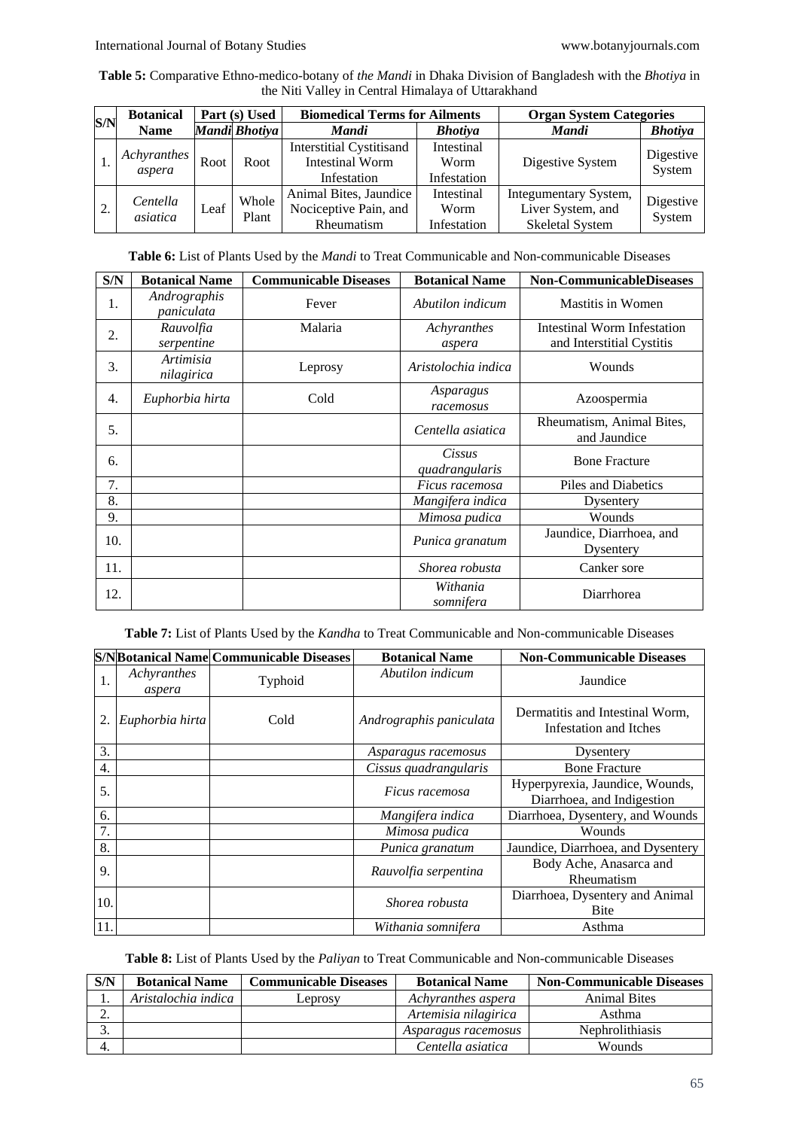**Table 5:** Comparative Ethno-medico-botany of *the Mandi* in Dhaka Division of Bangladesh with the *Bhotiya* in the Niti Valley in Central Himalaya of Uttarakhand

| S/N | <b>Botanical</b>      | Part (s) Used |                | <b>Biomedical Terms for Ailments</b>                                     |                                   | <b>Organ System Categories</b>                                       |                     |  |
|-----|-----------------------|---------------|----------------|--------------------------------------------------------------------------|-----------------------------------|----------------------------------------------------------------------|---------------------|--|
|     | <b>Name</b>           | Mandi Bhotiya |                | Mandi                                                                    | <b>Bhotiya</b>                    | <b>Mandi</b>                                                         | <b>Bhotiya</b>      |  |
|     | Achyranthes<br>aspera | Root          | Root           | <b>Interstitial Cystitisand</b><br><b>Intestinal Worm</b><br>Infestation | Intestinal<br>Worm<br>Infestation | Digestive System                                                     | Digestive<br>System |  |
| 2.  | Centella<br>asiatica  | Leaf          | Whole<br>Plant | Animal Bites, Jaundice<br>Nociceptive Pain, and<br>Rheumatism            | Intestinal<br>Worm<br>Infestation | Integumentary System,<br>Liver System, and<br><b>Skeletal System</b> | Digestive<br>System |  |

**Table 6:** List of Plants Used by the *Mandi* to Treat Communicable and Non-communicable Diseases

| S/N | <b>Botanical Name</b>          | <b>Communicable Diseases</b> | <b>Botanical Name</b>    | <b>Non-CommunicableDiseases</b>                          |
|-----|--------------------------------|------------------------------|--------------------------|----------------------------------------------------------|
| 1.  | Andrographis<br>paniculata     | Fever                        | Abutilon indicum         | <b>Mastitis in Women</b>                                 |
| 2.  | Rauvolfia<br>serpentine        | Malaria                      | Achyranthes<br>aspera    | Intestinal Worm Infestation<br>and Interstitial Cystitis |
| 3.  | <i>Artimisia</i><br>nilagirica | Leprosy                      | Aristolochia indica      | Wounds                                                   |
| 4.  | Euphorbia hirta                | Cold                         | Asparagus<br>racemosus   | Azoospermia                                              |
| 5.  |                                |                              | Centella asiatica        | Rheumatism, Animal Bites,<br>and Jaundice                |
| 6.  |                                |                              | Cissus<br>quadrangularis | <b>Bone Fracture</b>                                     |
| 7.  |                                |                              | Ficus racemosa           | Piles and Diabetics                                      |
| 8.  |                                |                              | Mangifera indica         | Dysentery                                                |
| 9.  |                                |                              | Mimosa pudica            | Wounds                                                   |
| 10. |                                |                              | Punica granatum          | Jaundice, Diarrhoea, and<br>Dysentery                    |
| 11. |                                |                              | Shorea robusta           | Canker sore                                              |
| 12. |                                |                              | Withania<br>somnifera    | Diarrhorea                                               |

**Table 7:** List of Plants Used by the *Kandha* to Treat Communicable and Non-communicable Diseases

|     |                       | <b>S/NBotanical Name Communicable Diseases</b> | <b>Botanical Name</b>   | <b>Non-Communicable Diseases</b>                              |
|-----|-----------------------|------------------------------------------------|-------------------------|---------------------------------------------------------------|
| 1.  | Achyranthes<br>aspera | Typhoid                                        | Abutilon indicum        | Jaundice                                                      |
|     | Euphorbia hirta       | Cold                                           | Andrographis paniculata | Dermatitis and Intestinal Worm,<br>Infestation and Itches     |
| 3.  |                       |                                                | Asparagus racemosus     | Dysentery                                                     |
| 4.  |                       |                                                | Cissus quadrangularis   | <b>Bone Fracture</b>                                          |
| 5.  |                       |                                                | Ficus racemosa          | Hyperpyrexia, Jaundice, Wounds,<br>Diarrhoea, and Indigestion |
| 6.  |                       |                                                | Mangifera indica        | Diarrhoea, Dysentery, and Wounds                              |
| 7.  |                       |                                                | Mimosa pudica           | Wounds                                                        |
| 8.  |                       |                                                | Punica granatum         | Jaundice, Diarrhoea, and Dysentery                            |
| 9.  |                       |                                                | Rauvolfia serpentina    | Body Ache, Anasarca and<br>Rheumatism                         |
| 10. |                       |                                                | Shorea robusta          | Diarrhoea, Dysentery and Animal<br>Bite                       |
| 11. |                       |                                                | Withania somnifera      | Asthma                                                        |

**Table 8:** List of Plants Used by the *Paliyan* to Treat Communicable and Non-communicable Diseases

| S/N | <b>Botanical Name</b> | <b>Communicable Diseases</b> | <b>Botanical Name</b> | <b>Non-Communicable Diseases</b> |
|-----|-----------------------|------------------------------|-----------------------|----------------------------------|
|     | Aristalochia indica   | Leprosv                      | Achyranthes aspera    | <b>Animal Bites</b>              |
| ۷.  |                       |                              | Artemisia nilagirica  | Asthma                           |
| J.  |                       |                              | Asparagus racemosus   | <b>Nephrolithiasis</b>           |
|     |                       |                              | Centella asiatica     | Wounds                           |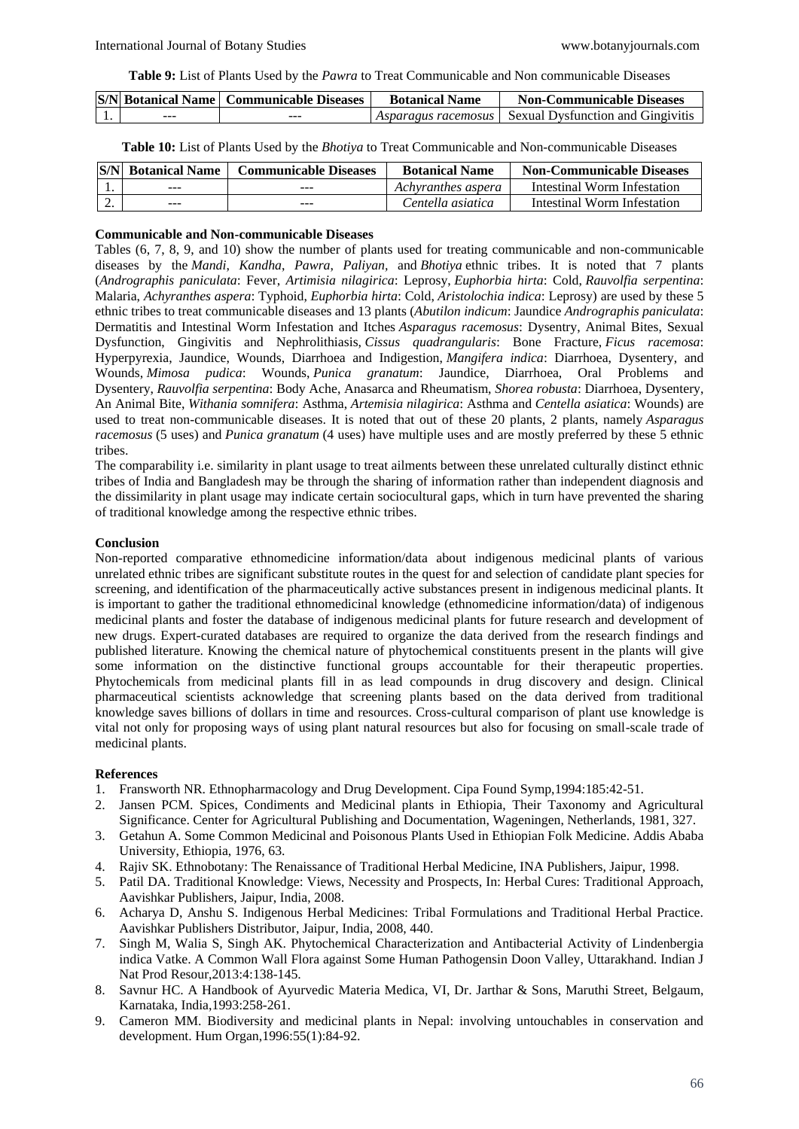**Table 9:** List of Plants Used by the *Pawra* to Treat Communicable and Non communicable Diseases

|     | <b>S/N Botanical Name   Communicable Diseases</b> | <b>Botanical Name</b> | <b>Non-Communicable Diseases</b>                               |
|-----|---------------------------------------------------|-----------------------|----------------------------------------------------------------|
| ___ | $- - -$                                           |                       | <i>Asparagus racemosus</i>   Sexual Dysfunction and Gingivitis |

**Table 10:** List of Plants Used by the *Bhotiya* to Treat Communicable and Non-communicable Diseases

| S/N | <b>Botanical Name</b> | <b>Communicable Diseases</b> | <b>Botanical Name</b> | <b>Non-Communicable Diseases</b> |
|-----|-----------------------|------------------------------|-----------------------|----------------------------------|
|     | ---                   | $- - -$                      | Achyranthes aspera    | Intestinal Worm Infestation      |
|     | $- - -$               | $- - -$                      | Centella asiatica     | Intestinal Worm Infestation      |

# **Communicable and Non-communicable Diseases**

Tables (6, 7, 8, 9, and 10) show the number of plants used for treating communicable and non-communicable diseases by the *Mandi*, *Kandha*, *Pawra*, *Paliyan,* and *Bhotiya* ethnic tribes. It is noted that 7 plants (*Andrographis paniculata*: Fever, *Artimisia nilagirica*: Leprosy, *Euphorbia hirta*: Cold, *Rauvolfia serpentina*: Malaria, *Achyranthes aspera*: Typhoid, *Euphorbia hirta*: Cold, *Aristolochia indica*: Leprosy) are used by these 5 ethnic tribes to treat communicable diseases and 13 plants (*Abutilon indicum*: Jaundice *Andrographis paniculata*: Dermatitis and Intestinal Worm Infestation and Itches *Asparagus racemosus*: Dysentry, Animal Bites, Sexual Dysfunction, Gingivitis and Nephrolithiasis, *Cissus quadrangularis*: Bone Fracture, *Ficus racemosa*: Hyperpyrexia, Jaundice, Wounds, Diarrhoea and Indigestion, *Mangifera indica*: Diarrhoea, Dysentery, and Wounds, *Mimosa pudica*: Wounds, *Punica granatum*: Jaundice, Diarrhoea, Oral Problems and Dysentery, *Rauvolfia serpentina*: Body Ache, Anasarca and Rheumatism, *Shorea robusta*: Diarrhoea, Dysentery, An Animal Bite, *Withania somnifera*: Asthma, *Artemisia nilagirica*: Asthma and *Centella asiatica*: Wounds) are used to treat non-communicable diseases. It is noted that out of these 20 plants, 2 plants, namely *Asparagus racemosus* (5 uses) and *Punica granatum* (4 uses) have multiple uses and are mostly preferred by these 5 ethnic tribes.

The comparability i.e. similarity in plant usage to treat ailments between these unrelated culturally distinct ethnic tribes of India and Bangladesh may be through the sharing of information rather than independent diagnosis and the dissimilarity in plant usage may indicate certain sociocultural gaps, which in turn have prevented the sharing of traditional knowledge among the respective ethnic tribes.

# **Conclusion**

Non-reported comparative ethnomedicine information/data about indigenous medicinal plants of various unrelated ethnic tribes are significant substitute routes in the quest for and selection of candidate plant species for screening, and identification of the pharmaceutically active substances present in indigenous medicinal plants. It is important to gather the traditional ethnomedicinal knowledge (ethnomedicine information/data) of indigenous medicinal plants and foster the database of indigenous medicinal plants for future research and development of new drugs. Expert-curated databases are required to organize the data derived from the research findings and published literature. Knowing the chemical nature of phytochemical constituents present in the plants will give some information on the distinctive functional groups accountable for their therapeutic properties. Phytochemicals from medicinal plants fill in as lead compounds in drug discovery and design. Clinical pharmaceutical scientists acknowledge that screening plants based on the data derived from traditional knowledge saves billions of dollars in time and resources. Cross-cultural comparison of plant use knowledge is vital not only for proposing ways of using plant natural resources but also for focusing on small-scale trade of medicinal plants.

# **References**

- 1. Fransworth NR. Ethnopharmacology and Drug Development. Cipa Found Symp,1994:185:42-51.
- 2. Jansen PCM. Spices, Condiments and Medicinal plants in Ethiopia, Their Taxonomy and Agricultural Significance. Center for Agricultural Publishing and Documentation, Wageningen, Netherlands, 1981, 327.
- 3. Getahun A. Some Common Medicinal and Poisonous Plants Used in Ethiopian Folk Medicine. Addis Ababa University, Ethiopia, 1976, 63.
- 4. Rajiv SK. Ethnobotany: The Renaissance of Traditional Herbal Medicine, INA Publishers, Jaipur, 1998.
- 5. Patil DA. Traditional Knowledge: Views, Necessity and Prospects, In: Herbal Cures: Traditional Approach, Aavishkar Publishers, Jaipur, India, 2008.
- 6. Acharya D, Anshu S. Indigenous Herbal Medicines: Tribal Formulations and Traditional Herbal Practice. Aavishkar Publishers Distributor, Jaipur, India, 2008, 440.
- 7. Singh M, Walia S, Singh AK. Phytochemical Characterization and Antibacterial Activity of Lindenbergia indica Vatke. A Common Wall Flora against Some Human Pathogensin Doon Valley, Uttarakhand. Indian J Nat Prod Resour,2013:4:138-145.
- 8. Savnur HC. A Handbook of Ayurvedic Materia Medica, VI, Dr. Jarthar & Sons, Maruthi Street, Belgaum, Karnataka, India,1993:258-261.
- 9. Cameron MM. Biodiversity and medicinal plants in Nepal: involving untouchables in conservation and development. Hum Organ,1996:55(1):84-92.